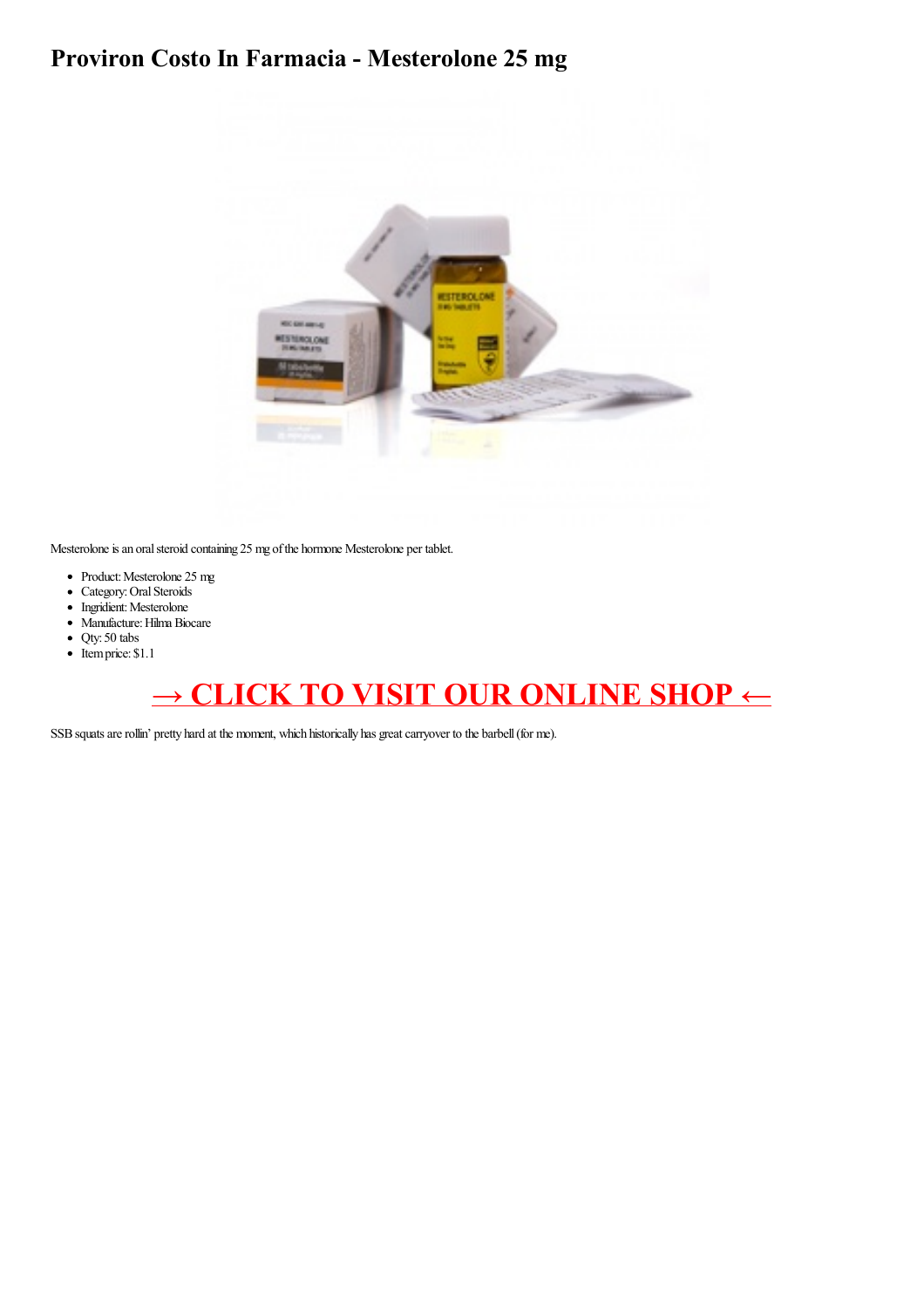## Proviron Costo In Farmacia - Mesterolone 25 mg



Mesterolone is an oral steroid containing 25 mg of the hormone Mesterolone per tablet.

- Product: Mesterolone 25 mg
- Category: Oral Steroids
- Ingridient: Mesterolone
- · Manufacture: Hilma Biocare
- $\bullet$  Qty: 50 tabs
- $\bullet$  Itemprice: \$1.1

## → CLICK TO VISIT OUR ONLINE SHOP ←

SSB squats are rollin' pretty hard at the moment, which historically has great carryover to the barbell (for me).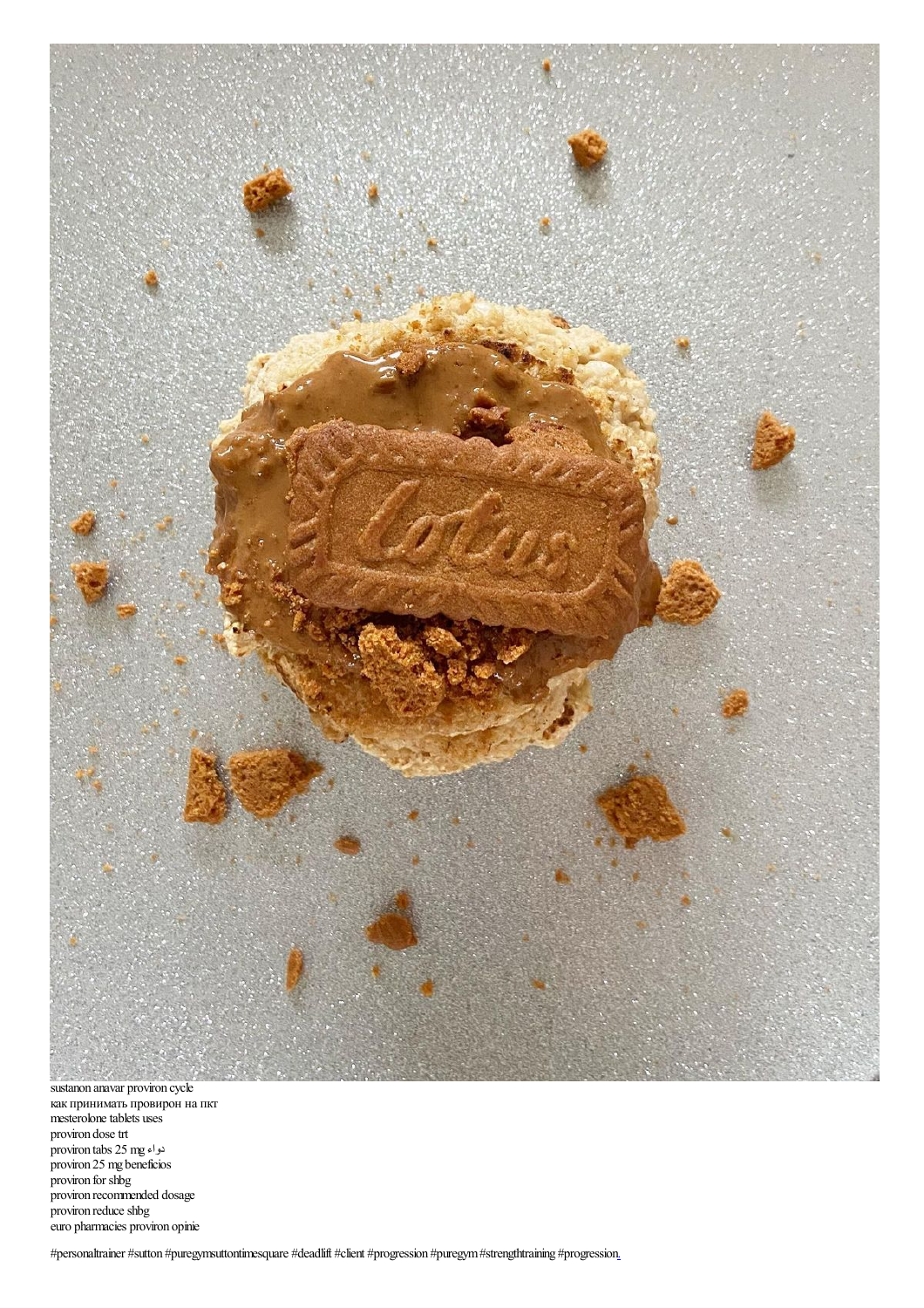

sustanon anavar proviron cycle<br>как принимать провирон на пкт<br>mesterolone tablets uses proviron dose trt<br>proviron tabs 25 mg المواء<br>proviron 25 mg beneficios<br>proviron for shbg provison recommended dosage<br>proviron reduce shbg euro pharmacies proviron opinie

#personaltrainer #sutton #puregymsuttontimesquare #deadlift #client #progression #puregym #strengthtraining #progression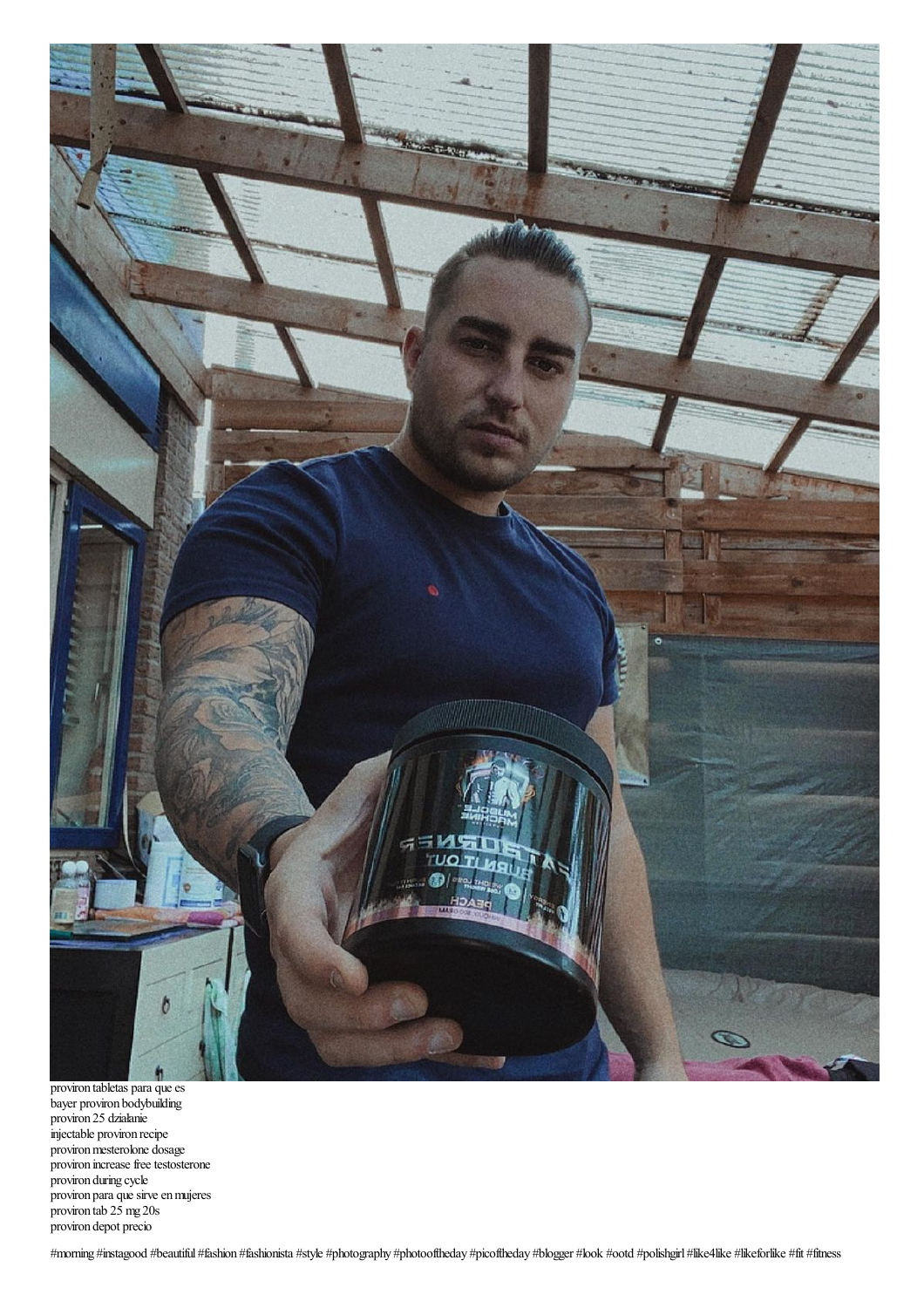

proviron tabletas para que es bayer proviron bodybuilding proviron 25 działanie injectable proviron recipe proviron mesterolone dosage proviron increase free testosterone proviron during cycle proviron para que sirve en mujeres proviron tab 25 mg 20s proviron depot precio

#morning #instagood #beautiful #fashion #fashionista #style #photography #photooftheday #picoftheday #blogger #look #ootd #polishgirl #like4like #likeforlike #fit #fitness